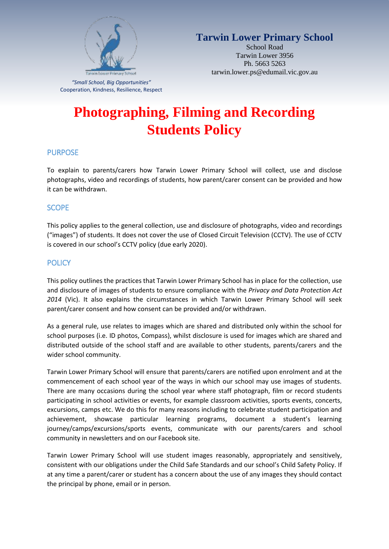

**Tarwin Lower Primary School**

School Road Tarwin Lower 3956 Ph. 5663 5263 tarwin.lower.ps@edumail.vic.gov.au

*"Small School, Big Opportunities"* Cooperation, Kindness, Resilience, Respect

# **Photographing, Filming and Recording Students Policy**

# PURPOSE

To explain to parents/carers how Tarwin Lower Primary School will collect, use and disclose photographs, video and recordings of students, how parent/carer consent can be provided and how it can be withdrawn.

# **SCOPE**

This policy applies to the general collection, use and disclosure of photographs, video and recordings ("images") of students. It does not cover the use of Closed Circuit Television (CCTV). The use of CCTV is covered in our school's CCTV policy (due early 2020).

# **POLICY**

This policy outlines the practices that Tarwin Lower Primary School has in place for the collection, use and disclosure of images of students to ensure compliance with the *Privacy and Data Protection Act 2014* (Vic). It also explains the circumstances in which Tarwin Lower Primary School will seek parent/carer consent and how consent can be provided and/or withdrawn.

As a general rule, use relates to images which are shared and distributed only within the school for school purposes (i.e. ID photos, Compass), whilst disclosure is used for images which are shared and distributed outside of the school staff and are available to other students, parents/carers and the wider school community.

Tarwin Lower Primary School will ensure that parents/carers are notified upon enrolment and at the commencement of each school year of the ways in which our school may use images of students. There are many occasions during the school year where staff photograph, film or record students participating in school activities or events, for example classroom activities, sports events, concerts, excursions, camps etc. We do this for many reasons including to celebrate student participation and achievement, showcase particular learning programs, document a student's learning journey/camps/excursions/sports events, communicate with our parents/carers and school community in newsletters and on our Facebook site.

Tarwin Lower Primary School will use student images reasonably, appropriately and sensitively, consistent with our obligations under the Child Safe Standards and our school's Child Safety Policy. If at any time a parent/carer or student has a concern about the use of any images they should contact the principal by phone, email or in person.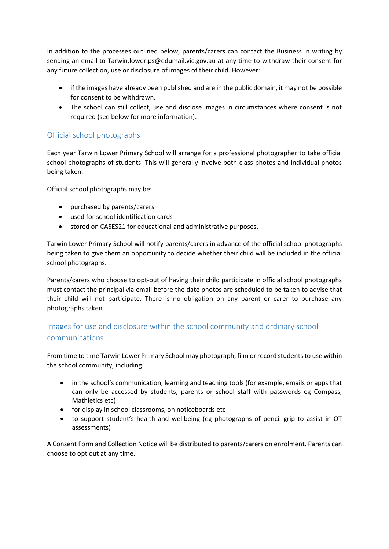In addition to the processes outlined below, parents/carers can contact the Business in writing by sending an email to Tarwin.lower.ps@edumail.vic.gov.au at any time to withdraw their consent for any future collection, use or disclosure of images of their child. However:

- if the images have already been published and are in the public domain, it may not be possible for consent to be withdrawn.
- The school can still collect, use and disclose images in circumstances where consent is not required (see below for more information).

# Official school photographs

Each year Tarwin Lower Primary School will arrange for a professional photographer to take official school photographs of students. This will generally involve both class photos and individual photos being taken.

Official school photographs may be:

- purchased by parents/carers
- used for school identification cards
- stored on CASES21 for educational and administrative purposes.

Tarwin Lower Primary School will notify parents/carers in advance of the official school photographs being taken to give them an opportunity to decide whether their child will be included in the official school photographs.

Parents/carers who choose to opt-out of having their child participate in official school photographs must contact the principal via email before the date photos are scheduled to be taken to advise that their child will not participate. There is no obligation on any parent or carer to purchase any photographs taken.

# Images for use and disclosure within the school community and ordinary school communications

From time to time Tarwin Lower Primary School may photograph, film or record students to use within the school community, including:

- in the school's communication, learning and teaching tools (for example, emails or apps that can only be accessed by students, parents or school staff with passwords eg Compass, Mathletics etc)
- for display in school classrooms, on noticeboards etc
- to support student's health and wellbeing (eg photographs of pencil grip to assist in OT assessments)

A Consent Form and Collection Notice will be distributed to parents/carers on enrolment. Parents can choose to opt out at any time.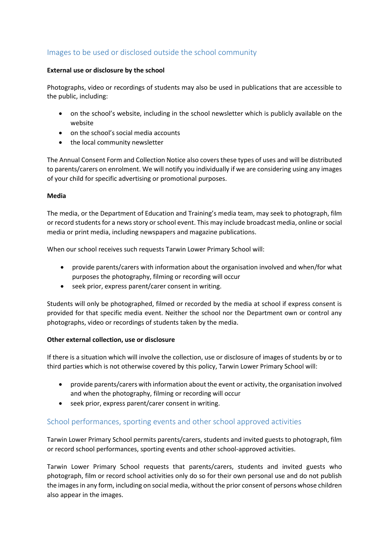# Images to be used or disclosed outside the school community

#### **External use or disclosure by the school**

Photographs, video or recordings of students may also be used in publications that are accessible to the public, including:

- on the school's website, including in the school newsletter which is publicly available on the website
- on the school's social media accounts
- the local community newsletter

The Annual Consent Form and Collection Notice also covers these types of uses and will be distributed to parents/carers on enrolment. We will notify you individually if we are considering using any images of your child for specific advertising or promotional purposes.

#### **Media**

The media, or the Department of Education and Training's media team, may seek to photograph, film or record students for a news story or school event. This may include broadcast media, online or social media or print media, including newspapers and magazine publications.

When our school receives such requests Tarwin Lower Primary School will:

- provide parents/carers with information about the organisation involved and when/for what purposes the photography, filming or recording will occur
- seek prior, express parent/carer consent in writing.

Students will only be photographed, filmed or recorded by the media at school if express consent is provided for that specific media event. Neither the school nor the Department own or control any photographs, video or recordings of students taken by the media.

#### **Other external collection, use or disclosure**

If there is a situation which will involve the collection, use or disclosure of images of students by or to third parties which is not otherwise covered by this policy, Tarwin Lower Primary School will:

- provide parents/carers with information about the event or activity, the organisation involved and when the photography, filming or recording will occur
- seek prior, express parent/carer consent in writing.

# School performances, sporting events and other school approved activities

Tarwin Lower Primary School permits parents/carers, students and invited guests to photograph, film or record school performances, sporting events and other school-approved activities.

Tarwin Lower Primary School requests that parents/carers, students and invited guests who photograph, film or record school activities only do so for their own personal use and do not publish the images in any form, including on social media, without the prior consent of persons whose children also appear in the images.